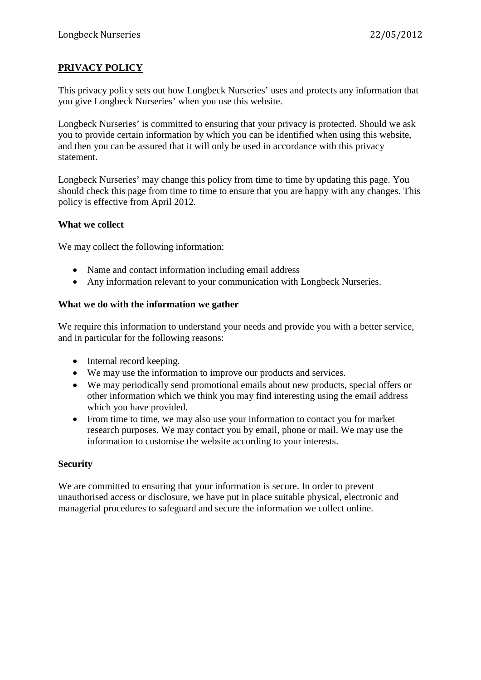# **PRIVACY POLICY**

This privacy policy sets out how Longbeck Nurseries' uses and protects any information that you give Longbeck Nurseries' when you use this website.

Longbeck Nurseries' is committed to ensuring that your privacy is protected. Should we ask you to provide certain information by which you can be identified when using this website, and then you can be assured that it will only be used in accordance with this privacy statement.

Longbeck Nurseries' may change this policy from time to time by updating this page. You should check this page from time to time to ensure that you are happy with any changes. This policy is effective from April 2012.

### **What we collect**

We may collect the following information:

- Name and contact information including email address
- Any information relevant to your communication with Longbeck Nurseries.

## **What we do with the information we gather**

We require this information to understand your needs and provide you with a better service, and in particular for the following reasons:

- Internal record keeping.
- We may use the information to improve our products and services.
- We may periodically send promotional emails about new products, special offers or other information which we think you may find interesting using the email address which you have provided.
- From time to time, we may also use your information to contact you for market research purposes. We may contact you by email, phone or mail. We may use the information to customise the website according to your interests.

### **Security**

We are committed to ensuring that your information is secure. In order to prevent unauthorised access or disclosure, we have put in place suitable physical, electronic and managerial procedures to safeguard and secure the information we collect online.